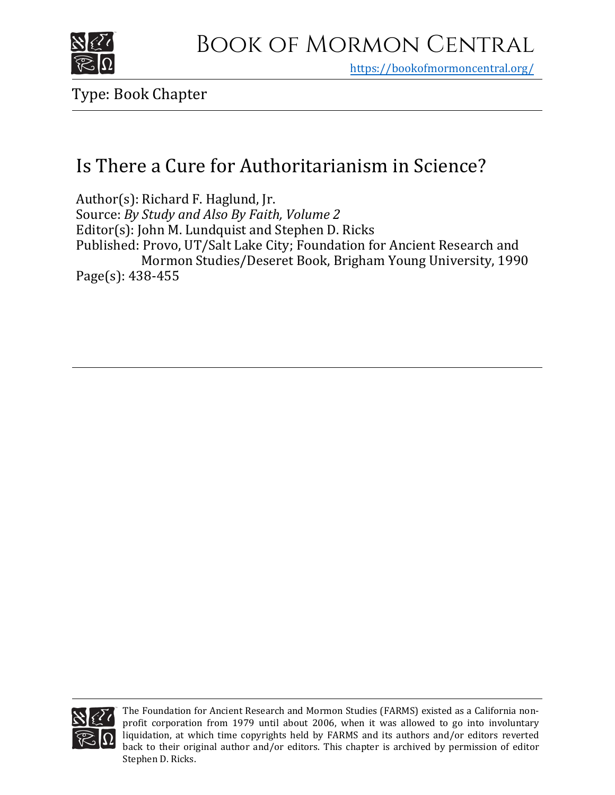

https[://bookofmormoncentral.org/](https://bookofmormoncentral.org/)

Type: Book Chapter

# Is There a Cure for Authoritarianism in Science?

Author(s): Richard F. Haglund, Jr. Source: *By Study and Also By Faith, Volume 2* Editor(s): John M. Lundquist and Stephen D. Ricks Published: Provo, UT/Salt Lake City; Foundation for Ancient Research and Mormon Studies/Deseret Book, Brigham Young University, 1990 Page(s): 438-455



The Foundation for Ancient Research and Mormon Studies (FARMS) existed as a California nonprofit corporation from 1979 until about 2006, when it was allowed to go into involuntary liquidation, at which time copyrights held by FARMS and its authors and/or editors reverted back to their original author and/or editors. This chapter is archived by permission of editor Stephen D. Ricks.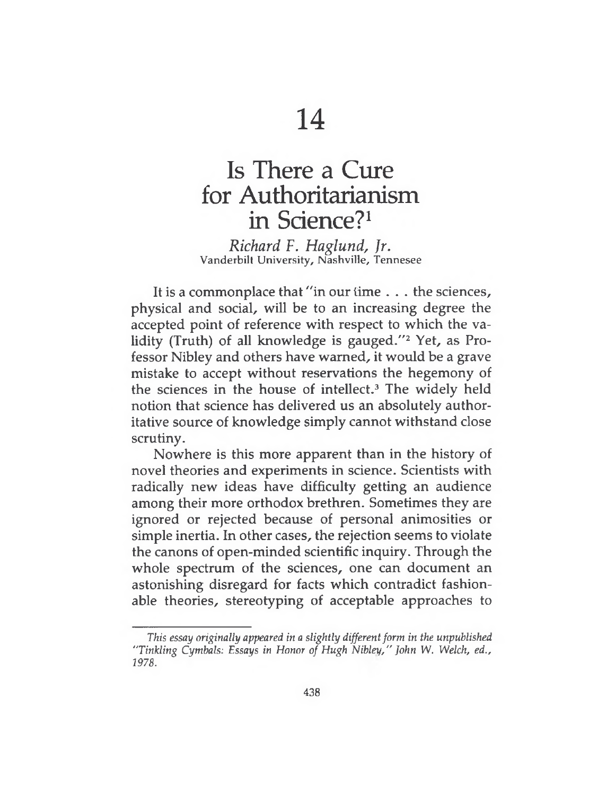# Is There a Cure for Authoritarianism in Science?<sup>1</sup>

*Richard F. Haglund, Jr.* Vanderbilt University, Nashville, Tennesee

It is a commonplace that "in our time . . . the sciences, physical and social, will be to an increasing degree the accepted point of reference with respect to which the validity (Truth) of all knowledge is gauged." $2$  Yet, as Professor Nibley and others have warned, it would be a grave mistake to accept without reservations the hegemony of the sciences in the house of intellect.<sup>3</sup> The widely held notion that science has delivered us an absolutely authoritative source of knowledge simply cannot withstand close scrutiny.

Nowhere is this more apparent than in the history of novel theories and experiments in science. Scientists with radically new ideas have difficulty getting an audience among their more orthodox brethren. Sometimes they are ignored or rejected because of personal animosities or simple inertia. In other cases, the rejection seems to violate the canons of open-minded scientific inquiry. Through the whole spectrum of the sciences, one can document an astonishing disregard for facts which contradict fashionable theories, stereotyping of acceptable approaches to

*This essay originally appeared in a slightly differentform in the unpublished "Tinkling Cymbals: Essays in Honor of Hugh Nibley/' John* W. *Welch, ed., 1978.*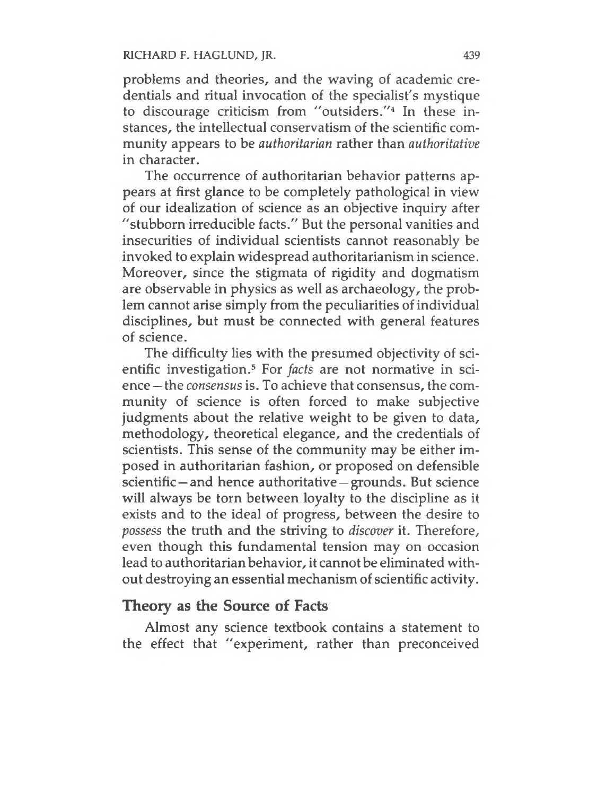problems and theories, and the waving of academic credentials and ritual invocation of the specialist's mystique to discourage criticism from "outsiders."<sup>4</sup> In these instances, the intellectual conservatism of the scientific community appears to be *authoritarian* rather than *authoritative* in character.

The occurrence of authoritarian behavior patterns appears at first glance to be completely pathological in view of our idealization of science as an objective inquiry after "stubborn irreducible facts." But the personal vanities and insecurities of individual scientists cannot reasonably be invoked to explain widespread authoritarianism in science. Moreover, since the stigmata of rigidity and dogmatism are observable in physics as well as archaeology, the problem cannot arise simply from the peculiarities of individual disciplines, but must be connected with general features of science.

The difficulty lies with the presumed objectivity of scientific investigation.<sup>5</sup> For *facts* are not normative in science — the *consensus* is. To achieve that consensus, the community of science is often forced to make subjective judgments about the relative weight to be given to data, methodology, theoretical elegance, and the credentials of scientists. This sense of the community may be either imposed in authoritarian fashion, or proposed on defensible scientific — and hence authoritative —grounds. But science will always be torn between loyalty to the discipline as it exists and to the ideal of progress, between the desire to *possess* the truth and the striving to *discover* it. Therefore, even though this fundamental tension may on occasion lead to authoritarianbehavior, it cannot be eliminated without destroying an essential mechanism of scientific activity.

## **Theory as the Source of Facts**

Almost any science textbook contains a statement to the effect that "experiment, rather than preconceived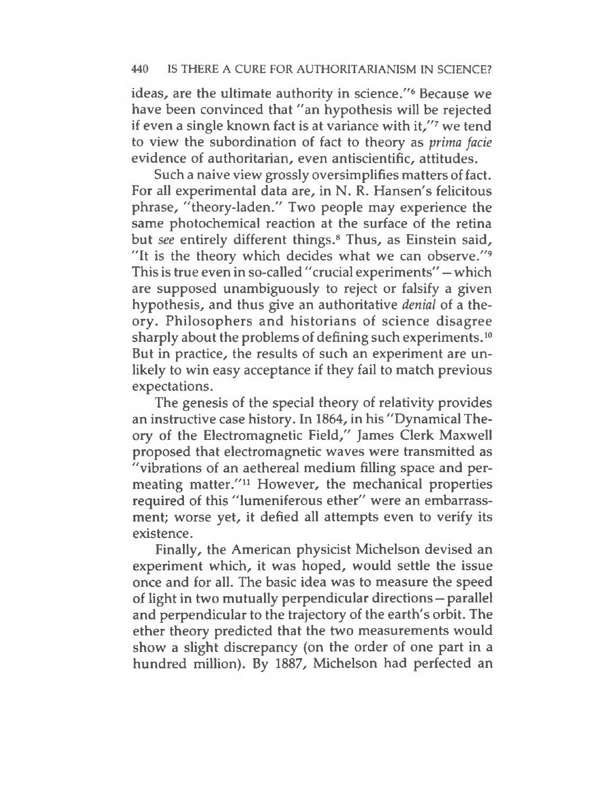ideas, are the ultimate authority in science."<sup>6</sup> Because we have been convinced that "an hypothesis will be rejected if even a single known fact is at variance with it,"<sup>7</sup> we tend to view the subordination of fact to theory as *prima facie* evidence of authoritarian, even antiscientific, attitudes.

Such a naive view grossly oversimplifies matters of fact. For all experimental data are, in N. R. Hansen's felicitous phrase, "theory-laden." Two people may experience the same photochemical reaction at the surface of the retina but *see* entirely different things.<sup>8</sup> Thus, as Einstein said, "It is the theory which decides what we can observe."<sup>9</sup> This is true even in so-called "crucial experiments" — which are supposed unambiguously to reject or falsify a given hypothesis, and thus give an authoritative *denial* of a theory. Philosophers and historians of science disagree sharply about the problems of defining such experiments.<sup>10</sup> But in practice, the results of such an experiment are unlikely to win easy acceptance if they fail to match previous expectations.

The genesis of the special theory of relativity provides an instructive case history. In 1864, in his "Dynamical Theory of the Electromagnetic Field," James Clerk Maxwell proposed that electromagnetic waves were transmitted as "vibrations of an aethereal medium filling space and permeating matter."<sup>11</sup> However, the mechanical properties required of this "lumeniferous ether" were an embarrassment; worse yet, it defied all attempts even to verify its existence.

Finally, the American physicist Michelson devised an experiment which, it was hoped, would settle the issue once and for all. The basic idea was to measure the speed of light in two mutually perpendicular directions — parallel and perpendicular to the trajectory of the earth's orbit. The ether theory predicted that the two measurements would show a slight discrepancy (on the order of one part in a hundred million). By 1887, Michelson had perfected an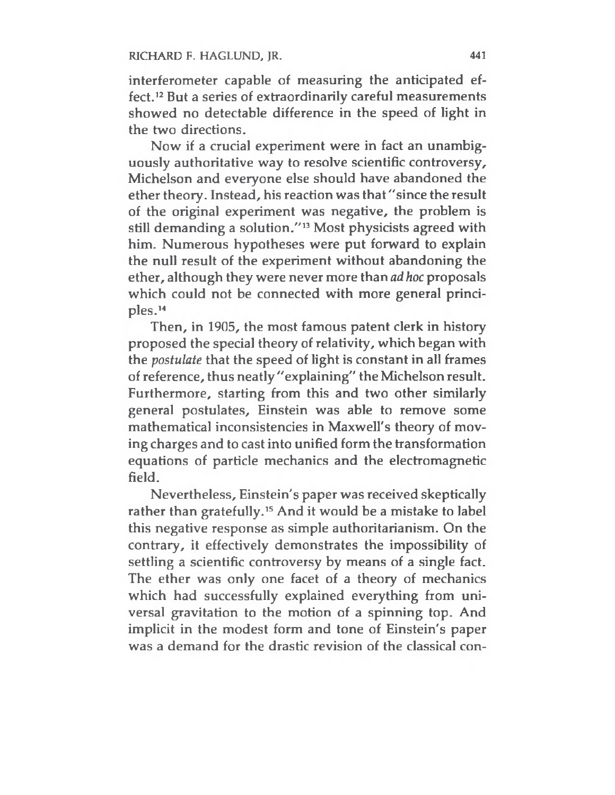interferometer capable of measuring the anticipated effect.<sup>12</sup> But a series of extraordinarily careful measurements showed no detectable difference in the speed of light in the two directions.

Now if a crucial experiment were in fact an unambiguously authoritative way to resolve scientific controversy, Michelson and everyone else should have abandoned the ether theory. Instead, his reaction was that"since the result of the original experiment was negative, the problem is still demanding a solution."<sup>13</sup> Most physicists agreed with him. Numerous hypotheses were put forward to explain the null result of the experiment without abandoning the ether, although they were never more than *ad hoc* proposals which could not be connected with more general principles.<sup>14</sup>

Then, in 1905, the most famous patent clerk in history proposed the special theory of relativity, which began with the *postulate* that the speed of light is constant in all frames of reference, thus neatly "explaining" the Michelson result. Furthermore, starting from this and two other similarly general postulates, Einstein was able to remove some mathematical inconsistencies in Maxwell's theory of moving charges and to cast into unified form the transformation equations of particle mechanics and the electromagnetic field.

Nevertheless, Einstein's paper was received skeptically rather than gratefully.<sup>15</sup> And it would be a mistake to label this negative response as simple authoritarianism. On the contrary, it effectively demonstrates the impossibility of settling a scientific controversy by means of a single fact. The ether was only one facet of a theory of mechanics which had successfully explained everything from universal gravitation to the motion of a spinning top. And implicit in the modest form and tone of Einstein's paper was a demand for the drastic revision of the classical con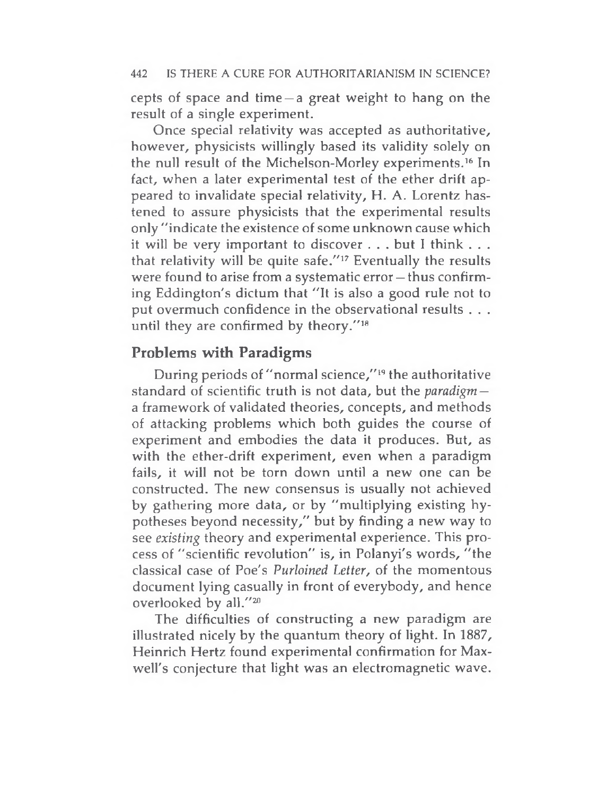cepts of space and time —a great weight to hang on the result of a single experiment.

Once special relativity was accepted as authoritative, however, physicists willingly based its validity solely on the null result of the Michelson-Morley experiments.<sup>16</sup> In fact, when a later experimental test of the ether drift appeared to invalidate special relativity, H. A. Lorentz hastened to assure physicists that the experimental results only "indicate the existence of some unknown cause which it will be very important to discover . . . but I think . . . that relativity will be quite safe."<sup>17</sup> Eventually the results were found to arise from a systematic error —thus confirming Eddington's dictum that "It is also a good rule not to put overmuch confidence in the observational results . . . until they are confirmed by theory."<sup>18</sup>

## **Problems with Paradigms**

During periods of "normal science,"<sup>19</sup> the authoritative standard of scientific truth is not data, but the *paradigm*  a framework of validated theories, concepts, and methods of attacking problems which both guides the course of experiment and embodies the data it produces. But, as with the ether-drift experiment, even when a paradigm fails, it will not be torn down until a new one can be constructed. The new consensus is usually not achieved by gathering more data, or by "multiplying existing hypotheses beyond necessity," but by finding a new way to see *existing* theory and experimental experience. This process of "scientific revolution" is, in Polanyi's words, "the classical case of Poe's *Purloined Letter,* of the momentous document lying casually in front of everybody, and hence overlooked by all."<sup>20</sup>

The difficulties of constructing a new paradigm are illustrated nicely by the quantum theory of light. In 1887, Heinrich Hertz found experimental confirmation for Maxwell's conjecture that light was an electromagnetic wave.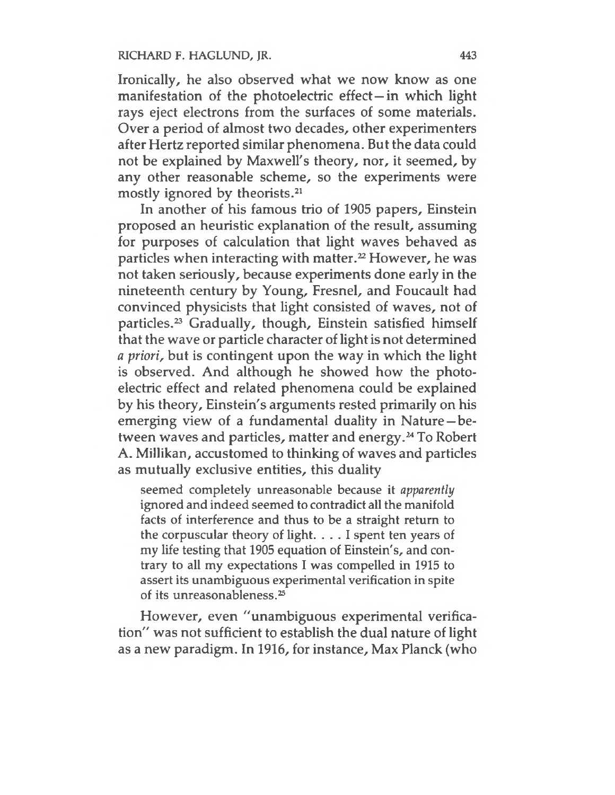Ironically, he also observed what we now know as one manifestation of the photoelectric effect—in which light rays eject electrons from the surfaces of some materials. Over a period of almost two decades, other experimenters after Hertz reported similar phenomena. But the data could not be explained by Maxwell's theory, nor, it seemed, by any other reasonable scheme, so the experiments were mostly ignored by theorists.<sup>21</sup>

In another of his famous trio of 1905 papers, Einstein proposed an heuristic explanation of the result, assuming for purposes of calculation that light waves behaved as particles when interacting with matter.<sup>22</sup> However, he was not taken seriously, because experiments done early in the nineteenth century by Young, Fresnel, and Foucault had convinced physicists that light consisted of waves, not of particles.<sup>23</sup> Gradually, though, Einstein satisfied himself that the wave or particle character of light is not determined *a priori,* but is contingent upon the way in which the light is observed. And although he showed how the photoelectric effect and related phenomena could be explained by his theory, Einstein's arguments rested primarily on his emerging view of a fundamental duality in Nature—between waves and particles, matter and energy.<sup>24</sup> To Robert A. Millikan, accustomed to thinking of waves and particles as mutually exclusive entities, this duality

seemed completely unreasonable because it *apparently* ignored and indeed seemed to contradict all the manifold facts of interference and thus to be a straight return to the corpuscular theory of light. ... <sup>I</sup> spent ten years of my life testing that 1905 equation of Einstein's, and contrary to all my expectations I was compelled in 1915 to assert its unambiguous experimental verification in spite of its unreasonableness.<sup>25</sup>

However, even "unambiguous experimental verification" was not sufficient to establish the dual nature of light as a new paradigm. In 1916, for instance, Max Planck (who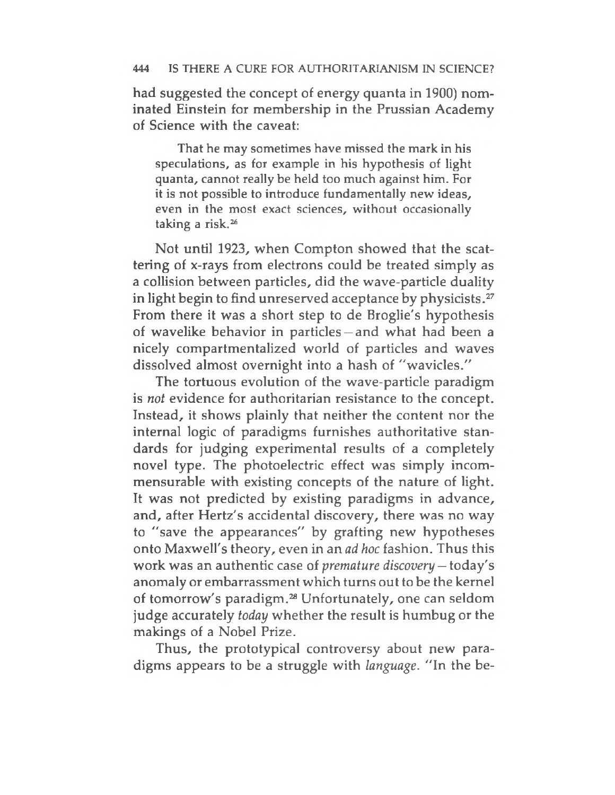had suggested the concept of energy quanta in 1900) nominated Einstein for membership in the Prussian Academy of Science with the caveat:

That he may sometimes have missed the mark in his speculations, as for example in his hypothesis of light quanta, cannot really be held too much against him. For it is not possible to introduce fundamentally new ideas, even in the most exact sciences, without occasionally taking a risk.<sup>26</sup>

Not until 1923, when Compton showed that the scattering of x-rays from electrons could be treated simply as a collision between particles, did the wave-particle duality in light begin to find unreserved acceptance by physicists.<sup>27</sup> From there it was a short step to de Broglie's hypothesis of wavelike behavior in particles —and what had been a nicely compartmentalized world of particles and waves dissolved almost overnight into a hash of "wavicles."

The tortuous evolution of the wave-particle paradigm is *not* evidence for authoritarian resistance to the concept. Instead, it shows plainly that neither the content nor the internal logic of paradigms furnishes authoritative standards for judging experimental results of a completely novel type. The photoelectric effect was simply incommensurable with existing concepts of the nature of light. It was not predicted by existing paradigms in advance, and, after Hertz's accidental discovery, there was no way to "save the appearances" by grafting new hypotheses onto Maxwell's theory, even in an *ad hoc* fashion. Thus this work was an authentic case of *premature discovery* — today's anomaly or embarrassment which turns out to be the kernel of tomorrow's paradigm.<sup>28</sup> Unfortunately, one can seldom judge accurately *today* whether the result is humbug or the makings of a Nobel Prize.

Thus, the prototypical controversy about new paradigms appears to be a struggle with *language.* "In the be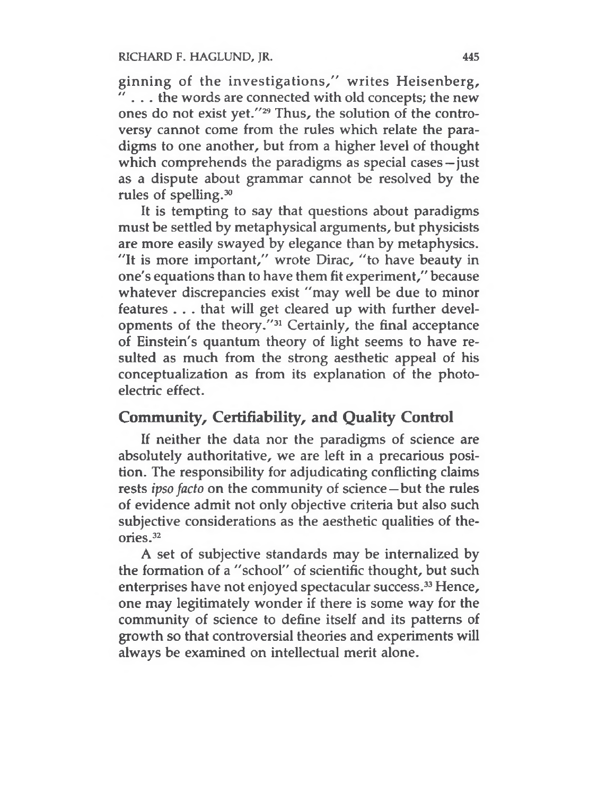RICHARD F. HAGLUND, JR. 445

ginning of the investigations," writes Heisenberg, ... the words are connected with old concepts; the new ones do not exist yet."<sup>29</sup> Thus, the solution of the controversy cannot come from the rules which relate the paradigms to one another, but from a higher level of thought which comprehends the paradigms as special cases—just as a dispute about grammar cannot be resolved by the rules of spelling.<sup>30</sup>

It is tempting to say that questions about paradigms must be settled by metaphysical arguments, but physicists are more easily swayed by elegance than by metaphysics. "It is more important," wrote Dirac, "to have beauty in one's equations than to have them fit experiment," because whatever discrepancies exist "may well be due to minor features . . . that will get cleared up with further developments of the theory."<sup>31</sup> Certainly, the final acceptance of Einstein's quantum theory of light seems to have resulted as much from the strong aesthetic appeal of his conceptualization as from its explanation of the photoelectric effect.

## **Community, Certifiability, and Quality Control**

If neither the data nor the paradigms of science are absolutely authoritative, we are left in a precarious position. The responsibility for adjudicating conflicting claims rests *ipso facto* on the community of science—but the rules of evidence admit not only objective criteria but also such subjective considerations as the aesthetic qualities of theories.<sup>32</sup>

A set of subjective standards may be internalized by the formation of a "school" of scientific thought, but such enterprises have not enjoyed spectacular success.<sup>33</sup> Hence, one may legitimately wonder if there is some way for the community of science to define itself and its patterns of growth so that controversial theories and experiments will always be examined on intellectual merit alone.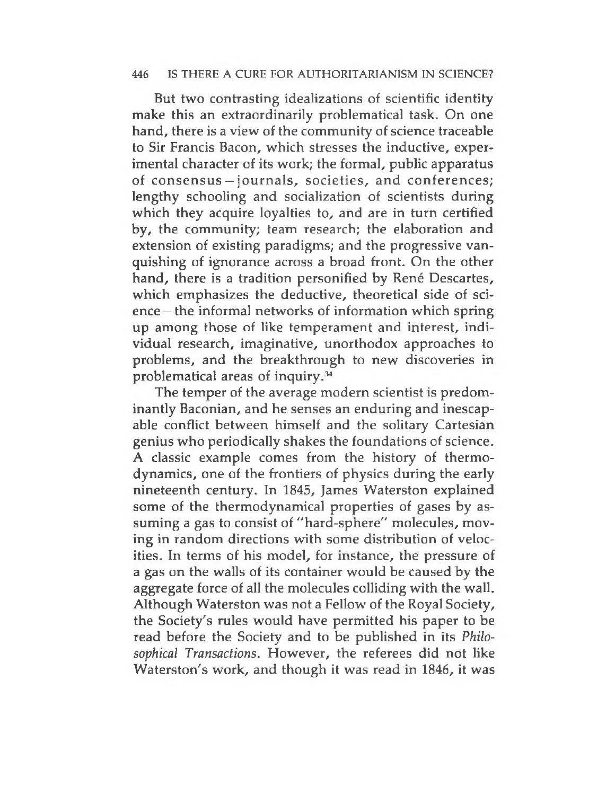But two contrasting idealizations of scientific identity make this an extraordinarily problematical task. On one hand, there is a view of the community of science traceable to Sir Francis Bacon, which stresses the inductive, experimental character of its work; the formal, public apparatus of consensus— journals, societies, and conferences; lengthy schooling and socialization of scientists during which they acquire loyalties to, and are in turn certified by, the community; team research; the elaboration and extension of existing paradigms; and the progressive vanquishing of ignorance across a broad front. On the other hand, there is a tradition personified by René Descartes, which emphasizes the deductive, theoretical side of science — the informal networks of information which spring up among those of like temperament and interest, individual research, imaginative, unorthodox approaches to problems, and the breakthrough to new discoveries in problematical areas of inquiry.<sup>34</sup>

The temper of the average modern scientist is predominantly Baconian, and he senses an enduring and inescapable conflict between himself and the solitary Cartesian genius who periodically shakes the foundations of science. A classic example comes from the history of thermodynamics, one of the frontiers of physics during the early nineteenth century. In 1845, James Waterston explained some of the thermodynamical properties of gases by assuming a gas to consist of "hard-sphere" molecules, moving in random directions with some distribution of velocities. In terms of his model, for instance, the pressure of a gas on the walls of its container would be caused by the aggregate force of all the molecules colliding with the wall. Although Waterston was not a Fellow of the Royal Society, the Society's rules would have permitted his paper to be read before the Society and to be published in its *Philosophical Transactions.* However, the referees did not like Waterston's work, and though it was read in 1846, it was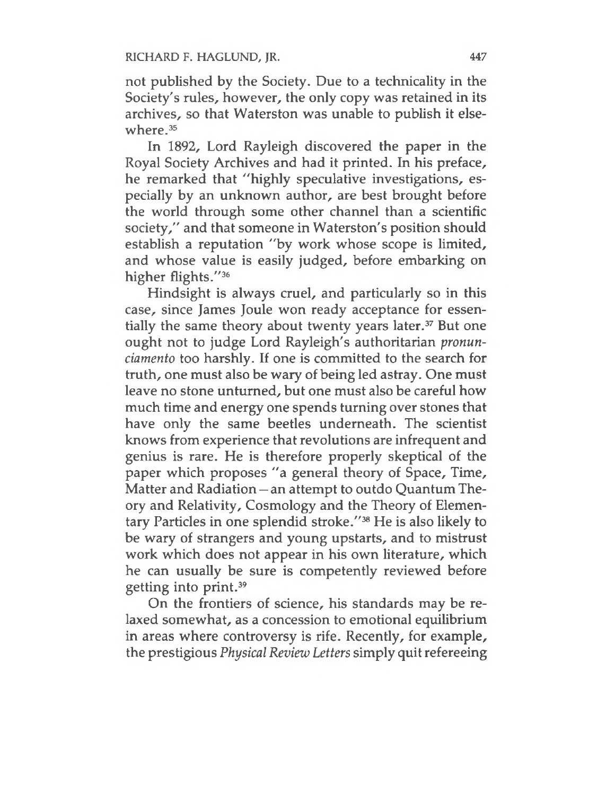not published by the Society. Due to a technicality in the Society's rules, however, the only copy was retained in its archives, so that Waterston was unable to publish it elsewhere.<sup>35</sup>

In 1892, Lord Rayleigh discovered the paper in the Royal Society Archives and had it printed. In his preface, he remarked that "highly speculative investigations, especially by an unknown author, are best brought before the world through some other channel than a scientific society," and that someone in Waterston's position should establish a reputation "by work whose scope is limited, and whose value is easily judged, before embarking on higher flights."<sup>36</sup>

Hindsight is always cruel, and particularly so in this case, since James Joule won ready acceptance for essentially the same theory about twenty years later.<sup>37</sup> But one ought not to judge Lord Rayleigh's authoritarian *pronunciamento* too harshly. If one is committed to the search for truth, one must also be wary of being led astray. One must leave no stone unturned, but one must also be careful how much time and energy one spends turning over stones that have only the same beetles underneath. The scientist knows from experience that revolutions are infrequent and genius is rare. He is therefore properly skeptical of the paper which proposes "a general theory of Space, Time, Matter and Radiation — an attempt to outdo Quantum Theory and Relativity, Cosmology and the Theory of Elementary Particles in one splendid stroke."<sup>38</sup> He is also likely to be wary of strangers and young upstarts, and to mistrust work which does not appear in his own literature, which he can usually be sure is competently reviewed before getting into print.<sup>39</sup>

On the frontiers of science, his standards may be relaxed somewhat, as a concession to emotional equilibrium in areas where controversy is rife. Recently, for example, the prestigious *Physical Review Letters* simply quitrefereeing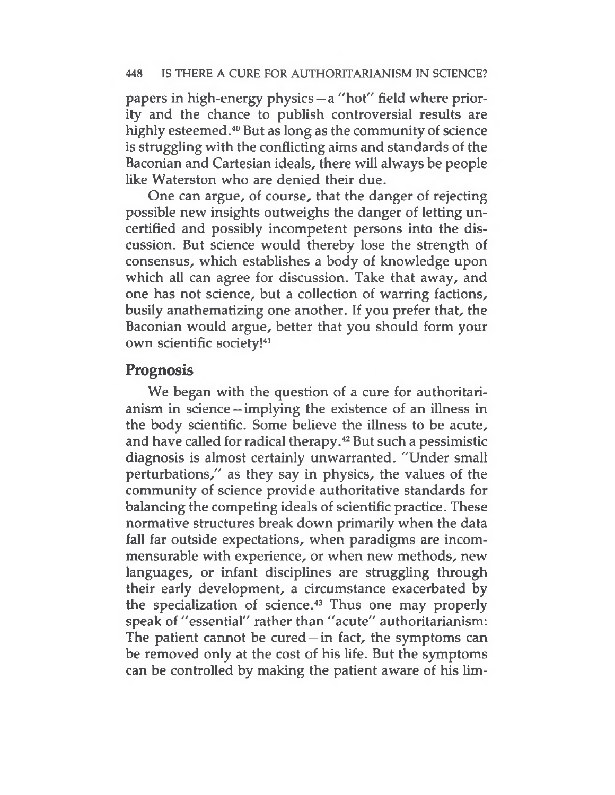papers in high-energy physics —a "hot" field where priority and the chance to publish controversial results are highly esteemed.<sup>40</sup> But as long as the community of science is struggling with the conflicting aims and standards of the Baconian and Cartesian ideals, there will always be people like Waterston who are denied their due.

One can argue, of course, that the danger of rejecting possible new insights outweighs the danger of letting uncertified and possibly incompetent persons into the discussion. But science would thereby lose the strength of consensus, which establishes a body of knowledge upon which all can agree for discussion. Take that away, and one has not science, but a collection of warring factions, busily anathematizing one another. If you prefer that, the Baconian would argue, better that you should form your own scientific society!<sup>41</sup>

## **Prognosis**

We began with the question of a cure for authoritarianism in science — implying the existence of an illness in the body scientific. Some believe the illness to be acute, and have called for radical therapy.<sup>42</sup> But such a pessimistic diagnosis is almost certainly unwarranted. "Under small perturbations," as they say in physics, the values of the community of science provide authoritative standards for balancing the competing ideals of scientific practice. These normative structures break down primarily when the data fall far outside expectations, when paradigms are incommensurable with experience, or when new methods, new languages, or infant disciplines are struggling through their early development, a circumstance exacerbated by the specialization of science.<sup>43</sup> Thus one may properly speak of "essential" rather than "acute" authoritarianism: The patient cannot be cured  $-$  in fact, the symptoms can be removed only at the cost of his life. But the symptoms can be controlled by making the patient aware of his lim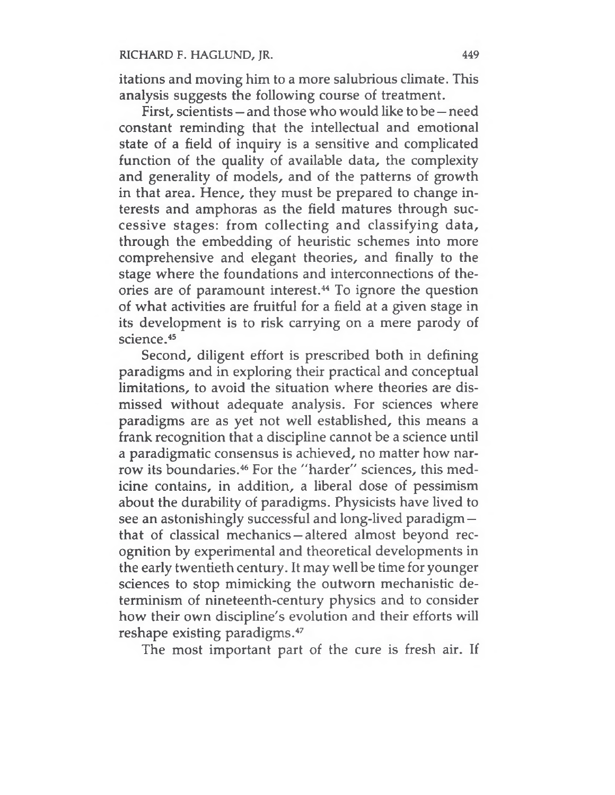itations and moving him to a more salubrious climate. This analysis suggests the following course of treatment.

First, scientists — and those who would like to be — need constant reminding that the intellectual and emotional state of a field of inquiry is a sensitive and complicated function of the quality of available data, the complexity and generality of models, and of the patterns of growth in that area. Hence, they must be prepared to change interests and amphoras as the field matures through successive stages: from collecting and classifying data, through the embedding of heuristic schemes into more comprehensive and elegant theories, and finally to the stage where the foundations and interconnections of theories are of paramount interest.<sup>44</sup> To ignore the question of what activities are fruitful for a field at a given stage in its development is to risk carrying on a mere parody of science.<sup>45</sup>

Second, diligent effort is prescribed both in defining paradigms and in exploring their practical and conceptual limitations, to avoid the situation where theories are dismissed without adequate analysis. For sciences where paradigms are as yet not well established, this means a frank recognition that a discipline cannot be a science until a paradigmatic consensus is achieved, no matter how narrow its boundaries.<sup>46</sup> For the "harder" sciences, this medicine contains, in addition, a liberal dose of pessimism about the durability of paradigms. Physicists have lived to see an astonishingly successful and long-lived paradigm that of classical mechanics — altered almost beyond recognition by experimental and theoretical developments in the early twentieth century. It may well be time for younger sciences to stop mimicking the outworn mechanistic determinism of nineteenth-century physics and to consider how their own discipline's evolution and their efforts will reshape existing paradigms.<sup>47</sup>

The most important part of the cure is fresh air. If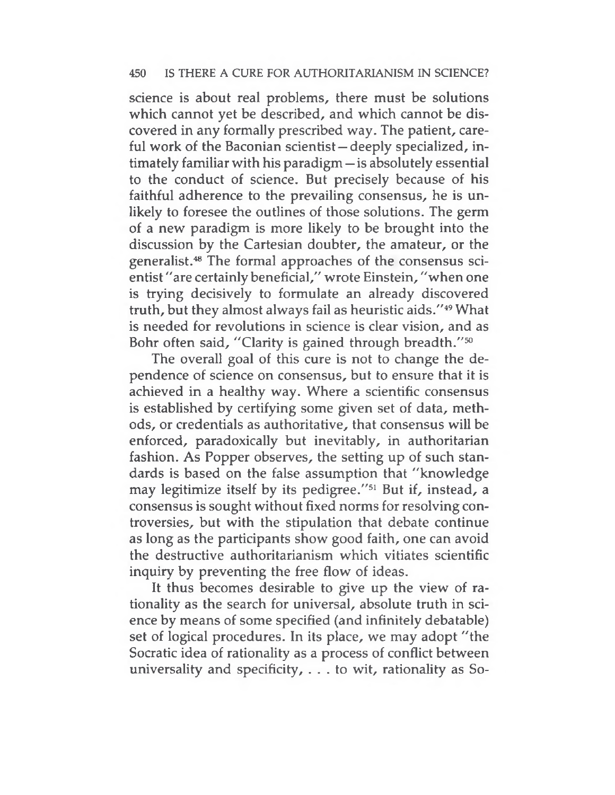science is about real problems, there must be solutions which cannot yet be described, and which cannot be discovered in any formally prescribed way. The patient, careful work of the Baconian scientist—deeply specialized, intimately familiar with his paradigm — is absolutely essential to the conduct of science. But precisely because of his faithful adherence to the prevailing consensus, he is unlikely to foresee the outlines of those solutions. The germ of a new paradigm is more likely to be brought into the discussion by the Cartesian doubter, the amateur, or the generalist.<sup>48</sup> The formal approaches of the consensus scientist "are certainly beneficial," wrote Einstein, "when one is trying decisively to formulate an already discovered truth, but they almost always fail as heuristic aids."<sup>49</sup> What is needed for revolutions in science is clear vision, and as Bohr often said, "Clarity is gained through breadth."<sup>50</sup>

The overall goal of this cure is not to change the dependence of science on consensus, but to ensure that it is achieved in a healthy way. Where a scientific consensus is established by certifying some given set of data, methods, or credentials as authoritative, that consensus will be enforced, paradoxically but inevitably, in authoritarian fashion. As Popper observes, the setting up of such standards is based on the false assumption that "knowledge may legitimize itself by its pedigree."<sup>51</sup> But if, instead, a consensus is sought without fixed norms for resolving controversies, but with the stipulation that debate continue as long as the participants show good faith, one can avoid the destructive authoritarianism which vitiates scientific inquiry by preventing the free flow of ideas.

It thus becomes desirable to give up the view of rationality as the search for universal, absolute truth in science by means of some specified (and infinitely debatable) set of logical procedures. In its place, we may adopt "the Socratic idea of rationality as a process of conflict between universality and specificity, ... to wit, rationality as So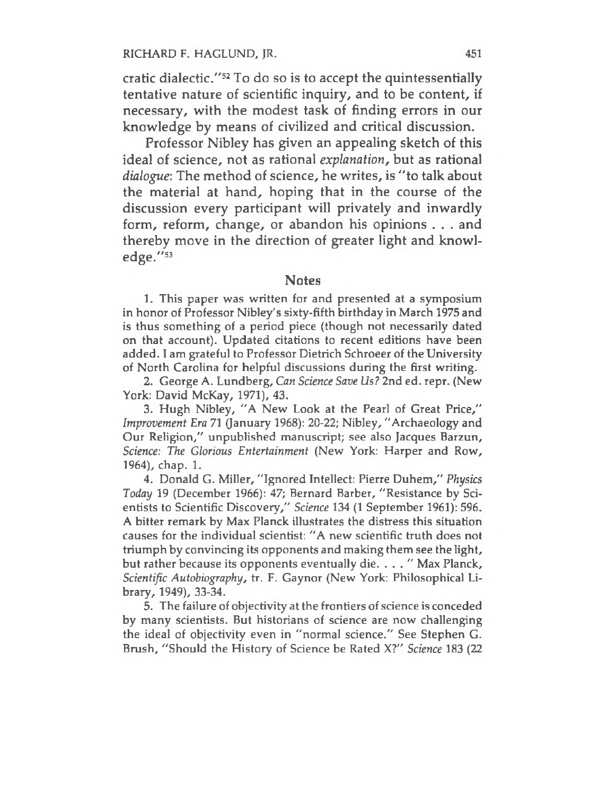cratic dialectic."<sup>52</sup> To do so is to accept the quintessentially tentative nature of scientific inquiry, and to be content, if necessary, with the modest task of finding errors in our knowledge by means of civilized and critical discussion.

Professor Nibley has given an appealing sketch of this ideal of science, not as rational *explanation,* but as rational *dialogue:* The method of science, he writes, is "to talk about the material at hand, hoping that in the course of the discussion every participant will privately and inwardly form, reform, change, or abandon his opinions . . . and thereby move in the direction of greater light and knowledge."<sup>53</sup>

#### **Notes**

1. This paper was written for and presented at a symposium in honor of Professor Nibley's sixty-fifth birthday in March 1975 and is thus something of a period piece (though not necessarily dated on that account). Updated citations to recent editions have been added. I am grateful to Professor Dietrich Schroeer of the University of North Carolina for helpful discussions during the first writing.

2. George A. Lundberg, *Can Science Save Us?* 2nd ed. repr. (New York: David McKay, 1971), 43.

3. Hugh Nibley, "A New Look at the Pearl of Great Price," *Improvement Era* 71 (January 1968): 20-22; Nibley, "Archaeology and Our Religion," unpublished manuscript; see also Jacques Barzun, *Science: The Glorious Entertainment* (New York: Harper and Row, 1964), chap. 1.

4. Donald G. Miller, "Ignored Intellect: Pierre Duhem," *Physics Today* 19 (December 1966): 47; Bernard Barber, "Resistance by Scientists to Scientific Discovery," *Science* 134 (1 September 1961): 596. A bitter remark by Max Planck illustrates the distress this situation causes for the individual scientist: "A new scientific truth does not triumph by convincing its opponents and making them see the light, but rather because its opponents eventually die. . . . " Max Planck, *Scientific Autobiography,* tr. F. Gaynor (New York: Philosophical Library, 1949), 33-34.

5. The failure of objectivity at the frontiers of science is conceded by many scientists. But historians of science are now challenging the ideal of objectivity even in "normal science." See Stephen G. Brush, "Should the History of Science be Rated X?" *Science* 183 (22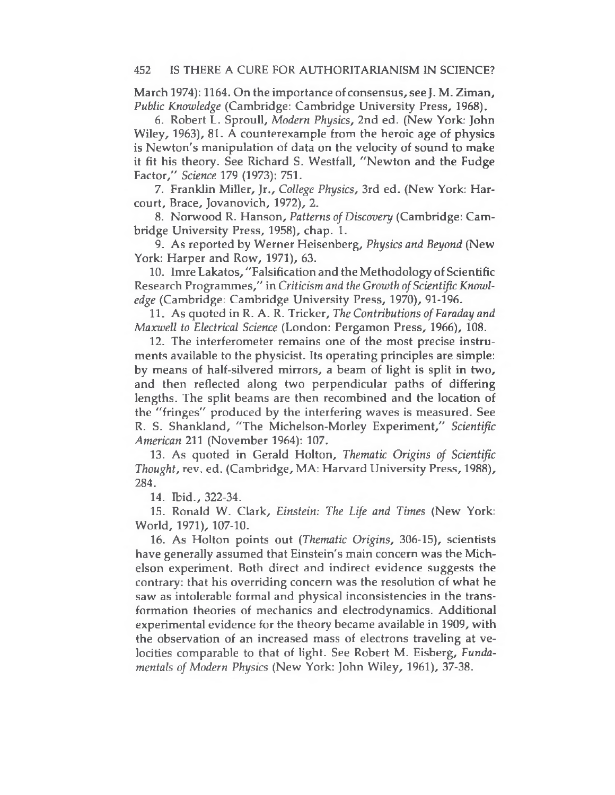March 1974): 1164. On the importance of consensus, see J. M. Ziman, *Public Knowledge* (Cambridge: Cambridge University Press, 1968).

6. Robert L. Sproull, *Modern Physics,* 2nd ed. (New York: John Wiley, 1963), 81. A counterexample from the heroic age of physics is Newton's manipulation of data on the velocity of sound to make it fit his theory. See Richard S. Westfall, "Newton and the Fudge Factor," *Science* 179 (1973): 751.

7. Franklin Miller, Jr., *College Physics,* 3rd ed. (New York: Harcourt, Brace, Jovanovich, 1972), 2.

8. Norwood R. Hanson, *Patterns of Discovery* (Cambridge: Cambridge University Press, 1958), chap. 1.

9. As reported by Werner Heisenberg, *Physics and Beyond* (New York: Harper and Row, 1971), 63.

10. Imre Lakatos, "Falsification and the Methodology of Scientific Research Programmes," in *Criticism and the Growth ofScientific Knowledge* (Cambridge: Cambridge University Press, 1970), 91-196.

11. As quoted in R. A. R. Tricker, *The Contributions of Faraday and Maxwell to Electrical Science* (London: Pergamon Press, 1966), 108.

12. The interferometer remains one of the most precise instruments available to the physicist. Its operating principles are simple: by means of half-silvered mirrors, a beam of light is split in two, and then reflected along two perpendicular paths of differing lengths. The split beams are then recombined and the location of the "fringes" produced by the interfering waves is measured. See R. S. Shankland, "The Michelson-Morley Experiment," *Scientific American* 211 (November 1964): 107.

13. As quoted in Gerald Holton, *Thematic Origins of Scientific Thought,* rev. ed. (Cambridge, MA: Harvard University Press, 1988), 284.

14. Ibid., 322-34.

15. Ronald W. Clark, *Einstein: The Life and Times* (New York: World, 1971), 107-10.

16. As Holton points out *(Thematic Origins,* 306-15), scientists have generally assumed that Einstein's main concern was the Michelson experiment. Both direct and indirect evidence suggests the contrary: that his overriding concern was the resolution of what he saw as intolerable formal and physical inconsistencies in the transformation theories of mechanics and electrodynamics. Additional experimental evidence for the theory became available in 1909, with the observation of an increased mass of electrons traveling at velocities comparable to that of light. See Robert M. Eisberg, *Fundamentals of Modern Physics* (New York: John Wiley, 1961), 37-38.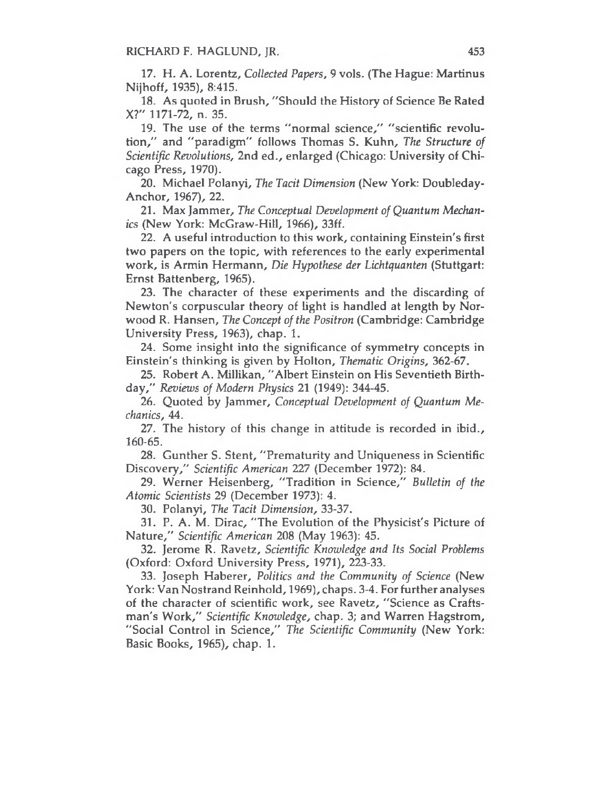RICHARD F. HAGLUND, JR. 453

17. H. A. Lorentz, *Collected Papers,* 9 vols. (The Hague: Martinus Nijhoff, 1935), 8:415.

18. As quoted in Brush, "Should the History of Science Be Rated X?" 1171-72, n. 35.

19. The use of the terms "normal science," "scientific revolution," and "paradigm" follows Thomas S. Kuhn, *The Structure of Scientific Revolutions,* 2nd ed., enlarged (Chicago: University of Chicago Press, 1970).

20. Michael Polanyi, *The Tacit Dimension* (New York: Doubleday-Anchor, 1967), 22.

21. Max Jammer, *The Conceptual Development of Quantum Mechanics* (New York: McGraw-Hill, 1966), 33ff.

22. A useful introduction to this work, containing Einstein's first two papers on the topic, with references to the early experimental work, is Armin Hermann, *Die Hypothese der Lichtquanten* (Stuttgart: Ernst Battenberg, 1965).

23. The character of these experiments and the discarding of Newton's corpuscular theory of light is handled at length by Norwood R. Hansen, *The Concept ofthe Positron* (Cambridge: Cambridge University Press, 1963), chap. 1.

24. Some insight into the significance of symmetry concepts in Einstein's thinking is given by Holton, *Thematic Origins,* 362-67.

25. Robert A. Millikan, "Albert Einstein on His Seventieth Birthday," *Reviews of Modern Physics* 21 (1949): 344-45.

26. Quoted by Jammer, *Conceptual Development of Quantum Mechanics,* 44.

27. The history of this change in attitude is recorded in ibid., 160-65.

28. Gunther S. Stent, "Prematurity and Uniqueness in Scientific Discovery," *Scientific American 227* (December 1972): 84.

29. Werner Heisenberg, "Tradition in Science," *Bulletin of the Atomic Scientists* 29 (December 1973): 4.

30. Polanyi, *The Tacit Dimension,* 33-37.

31. P. A. M. Dirac, "The Evolution of the Physicist's Picture of Nature," *Scientific American* 208 (May 1963): 45.

32. Jerome R. Ravetz, *Scientific Knowledge and Its Social Problems* (Oxford: Oxford University Press, 1971), 223-33.

33. Joseph Haberer, *Politics and the Community of Science* (New York: Van Nostrand Reinhold, 1969), chaps. 3-4. For further analyses of the character of scientific work, see Ravetz, "Science as Craftsman's Work," *Scientific Knowledge,* chap. 3; and Warren Hagstrom, "Social Control in Science," *The Scientific Community* (New York: Basic Books, 1965), chap. 1.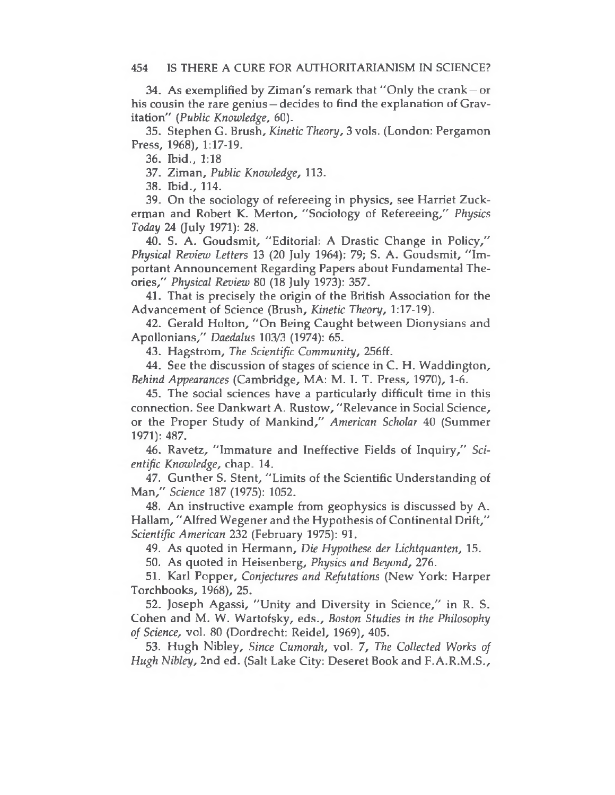34. As exemplified by Ziman's remark that ''Only the crank—or his cousin the rare genius – decides to find the explanation of Gravitation" *(Public Knowledge,* 60).

35. Stephen G. Brush, *Kinetic Theory,* 3 vols. (London: Pergamon Press, 1968), 1:17-19.

36. Ibid., 1:18

37. Ziman, *Public Knowledge,* 113.

38. Ibid., 114.

39. On the sociology of refereeing in physics, see Harriet Zuckerman and Robert K. Merton, "Sociology of Refereeing," *Physics Today* 24 (July 1971): 28.

40. S. A. Goudsmit, "Editorial: A Drastic Change in Policy," *Physical Review Letters* 13 (20 July 1964): 79; S. A. Goudsmit, "Important Announcement Regarding Papers about Fundamental Theories," *Physical Review* 80 (18 July 1973): 357.

41. That is precisely the origin of the British Association for the Advancement of Science (Brush, *Kinetic Theory,* 1:17-19).

42. Gerald Holton, "On Being Caught between Dionysians and Apollonians," *Daedalus* 103/3 (1974): 65.

43. Hagstrom, *The Scientific Community,* 256ff.

44. See the discussion of stages of science in C. H. Waddington, *Behind Appearances* (Cambridge, MA: M. I. T. Press, 1970), 1-6.

45. The social sciences have a particularly difficult time in this connection. See Dankwart A. Rustow, "Relevance in Social Science, or the Proper Study of Mankind," *American Scholar* 40 (Summer 1971): 487.

46. Ravetz, "Immature and Ineffective Fields of Inquiry," *Scientific Knowledge,* chap. 14.

47. Gunther S. Stent, "Limits of the Scientific Understanding of Man," *Science* 187 (1975): 1052.

48. An instructive example from geophysics is discussed by A. Hallam, "Alfred Wegener and the Hypothesis of Continental Drift," *Scientific American* 232 (February 1975): 91.

49. As quoted in Hermann, *Die Hypothese der Lichtquanten,* 15.

50. As quoted in Heisenberg, *Physics and Beyond,* 276.

51. Karl Popper, *Conjectures and Refutations* (New York: Harper Torchbooks, 1968), 25.

52. Joseph Agassi, "Unity and Diversity in Science," in R. S. Cohen and M. W. Wartofsky, eds., *Boston Studies in the Philosophy of Science,* vol. 80 (Dordrecht: Reidel, 1969), 405.

53. Hugh Nibley, *Since Cumorah,* vol. *7, The Collected Works of Hugh Nibley,* 2nd ed. (Salt Lake City: Deseret Book and F.A.R.M.S.,